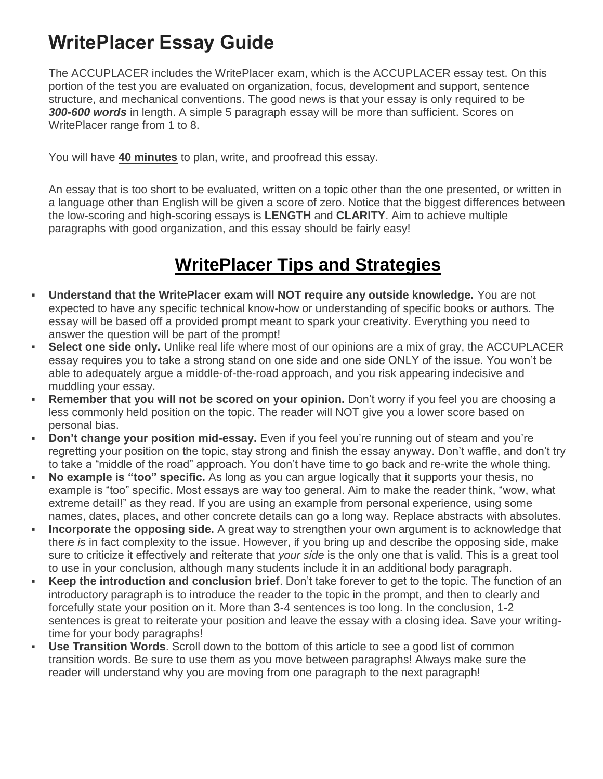# **WritePlacer Essay Guide**

The ACCUPLACER includes the WritePlacer exam, which is the ACCUPLACER essay test. On this portion of the test you are evaluated on organization, focus, development and support, sentence structure, and mechanical conventions. The good news is that your essay is only required to be *300-600 words* in length. A simple 5 paragraph essay will be more than sufficient. Scores on WritePlacer range from 1 to 8.

You will have **40 minutes** to plan, write, and proofread this essay.

An essay that is too short to be evaluated, written on a topic other than the one presented, or written in a language other than English will be given a score of zero. Notice that the biggest differences between the low-scoring and high-scoring essays is **LENGTH** and **CLARITY**. Aim to achieve multiple paragraphs with good organization, and this essay should be fairly easy!

### **WritePlacer Tips and Strategies**

- **Understand that the WritePlacer exam will NOT require any outside knowledge.** You are not expected to have any specific technical know-how or understanding of specific books or authors. The essay will be based off a provided prompt meant to spark your creativity. Everything you need to answer the question will be part of the prompt!
- **Select one side only.** Unlike real life where most of our opinions are a mix of gray, the ACCUPLACER essay requires you to take a strong stand on one side and one side ONLY of the issue. You won't be able to adequately argue a middle-of-the-road approach, and you risk appearing indecisive and muddling your essay.
- **Remember that you will not be scored on your opinion.** Don't worry if you feel you are choosing a less commonly held position on the topic. The reader will NOT give you a lower score based on personal bias.
- **Don't change your position mid-essay.** Even if you feel you're running out of steam and you're regretting your position on the topic, stay strong and finish the essay anyway. Don't waffle, and don't try to take a "middle of the road" approach. You don't have time to go back and re-write the whole thing.
- **No example is "too" specific.** As long as you can argue logically that it supports your thesis, no example is "too" specific. Most essays are way too general. Aim to make the reader think, "wow, what extreme detail!" as they read. If you are using an example from personal experience, using some names, dates, places, and other concrete details can go a long way. Replace abstracts with absolutes.
- **Incorporate the opposing side.** A great way to strengthen your own argument is to acknowledge that there *is* in fact complexity to the issue. However, if you bring up and describe the opposing side, make sure to criticize it effectively and reiterate that *your side* is the only one that is valid. This is a great tool to use in your conclusion, although many students include it in an additional body paragraph.
- **Keep the introduction and conclusion brief**. Don't take forever to get to the topic. The function of an introductory paragraph is to introduce the reader to the topic in the prompt, and then to clearly and forcefully state your position on it. More than 3-4 sentences is too long. In the conclusion, 1-2 sentences is great to reiterate your position and leave the essay with a closing idea. Save your writingtime for your body paragraphs!
- **Use Transition Words**. Scroll down to the bottom of this article to see a good list of common transition words. Be sure to use them as you move between paragraphs! Always make sure the reader will understand why you are moving from one paragraph to the next paragraph!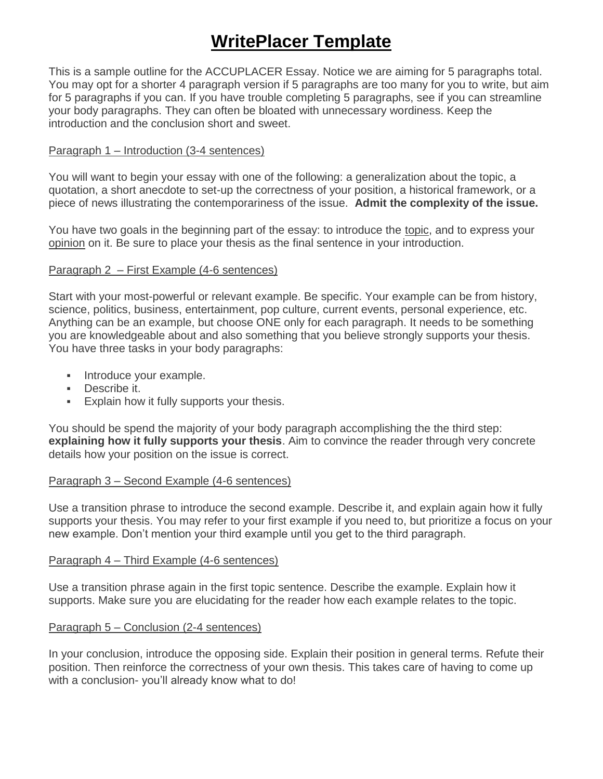## **WritePlacer Template**

This is a sample outline for the ACCUPLACER Essay. Notice we are aiming for 5 paragraphs total. You may opt for a shorter 4 paragraph version if 5 paragraphs are too many for you to write, but aim for 5 paragraphs if you can. If you have trouble completing 5 paragraphs, see if you can streamline your body paragraphs. They can often be bloated with unnecessary wordiness. Keep the introduction and the conclusion short and sweet.

#### Paragraph 1 – Introduction (3-4 sentences)

You will want to begin your essay with one of the following: a generalization about the topic, a quotation, a short anecdote to set-up the correctness of your position, a historical framework, or a piece of news illustrating the contemporariness of the issue. **Admit the complexity of the issue.**

You have two goals in the beginning part of the essay: to introduce the topic, and to express your opinion on it. Be sure to place your thesis as the final sentence in your introduction.

#### Paragraph 2 – First Example (4-6 sentences)

Start with your most-powerful or relevant example. Be specific. Your example can be from history, science, politics, business, entertainment, pop culture, current events, personal experience, etc. Anything can be an example, but choose ONE only for each paragraph. It needs to be something you are knowledgeable about and also something that you believe strongly supports your thesis. You have three tasks in your body paragraphs:

- **Introduce your example.**
- **Describe it.**
- **Explain how it fully supports your thesis.**

You should be spend the majority of your body paragraph accomplishing the the third step: **explaining how it fully supports your thesis**. Aim to convince the reader through very concrete details how your position on the issue is correct.

#### Paragraph 3 – Second Example (4-6 sentences)

Use a transition phrase to introduce the second example. Describe it, and explain again how it fully supports your thesis. You may refer to your first example if you need to, but prioritize a focus on your new example. Don't mention your third example until you get to the third paragraph.

#### Paragraph 4 – Third Example (4-6 sentences)

Use a transition phrase again in the first topic sentence. Describe the example. Explain how it supports. Make sure you are elucidating for the reader how each example relates to the topic.

#### Paragraph 5 – Conclusion (2-4 sentences)

In your conclusion, introduce the opposing side. Explain their position in general terms. Refute their position. Then reinforce the correctness of your own thesis. This takes care of having to come up with a conclusion- you'll already know what to do!